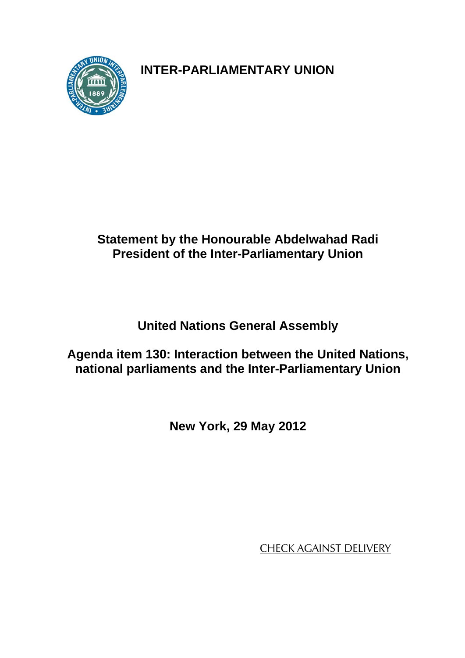**INTER-PARLIAMENTARY UNION** 



# **Statement by the Honourable Abdelwahad Radi President of the Inter-Parliamentary Union**

## **United Nations General Assembly**

### **Agenda item 130: Interaction between the United Nations, national parliaments and the Inter-Parliamentary Union**

**New York, 29 May 2012** 

CHECK AGAINST DELIVERY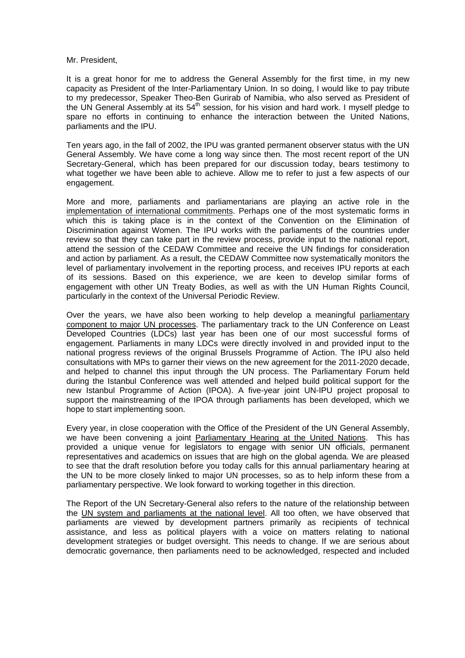#### Mr. President,

It is a great honor for me to address the General Assembly for the first time, in my new capacity as President of the Inter-Parliamentary Union. In so doing, I would like to pay tribute to my predecessor, Speaker Theo-Ben Gurirab of Namibia, who also served as President of the UN General Assembly at its  $54<sup>th</sup>$  session, for his vision and hard work. I myself pledge to spare no efforts in continuing to enhance the interaction between the United Nations, parliaments and the IPU.

Ten years ago, in the fall of 2002, the IPU was granted permanent observer status with the UN General Assembly. We have come a long way since then. The most recent report of the UN Secretary-General, which has been prepared for our discussion today, bears testimony to what together we have been able to achieve. Allow me to refer to just a few aspects of our engagement.

More and more, parliaments and parliamentarians are playing an active role in the implementation of international commitments. Perhaps one of the most systematic forms in which this is taking place is in the context of the Convention on the Elimination of Discrimination against Women. The IPU works with the parliaments of the countries under review so that they can take part in the review process, provide input to the national report, attend the session of the CEDAW Committee and receive the UN findings for consideration and action by parliament. As a result, the CEDAW Committee now systematically monitors the level of parliamentary involvement in the reporting process, and receives IPU reports at each of its sessions. Based on this experience, we are keen to develop similar forms of engagement with other UN Treaty Bodies, as well as with the UN Human Rights Council, particularly in the context of the Universal Periodic Review.

Over the years, we have also been working to help develop a meaningful parliamentary component to major UN processes. The parliamentary track to the UN Conference on Least Developed Countries (LDCs) last year has been one of our most successful forms of engagement. Parliaments in many LDCs were directly involved in and provided input to the national progress reviews of the original Brussels Programme of Action. The IPU also held consultations with MPs to garner their views on the new agreement for the 2011-2020 decade, and helped to channel this input through the UN process. The Parliamentary Forum held during the Istanbul Conference was well attended and helped build political support for the new Istanbul Programme of Action (IPOA). A five-year joint UN-IPU project proposal to support the mainstreaming of the IPOA through parliaments has been developed, which we hope to start implementing soon.

Every year, in close cooperation with the Office of the President of the UN General Assembly, we have been convening a joint Parliamentary Hearing at the United Nations. This has provided a unique venue for legislators to engage with senior UN officials, permanent representatives and academics on issues that are high on the global agenda. We are pleased to see that the draft resolution before you today calls for this annual parliamentary hearing at the UN to be more closely linked to major UN processes, so as to help inform these from a parliamentary perspective. We look forward to working together in this direction.

The Report of the UN Secretary-General also refers to the nature of the relationship between the UN system and parliaments at the national level. All too often, we have observed that parliaments are viewed by development partners primarily as recipients of technical assistance, and less as political players with a voice on matters relating to national development strategies or budget oversight. This needs to change. If we are serious about democratic governance, then parliaments need to be acknowledged, respected and included